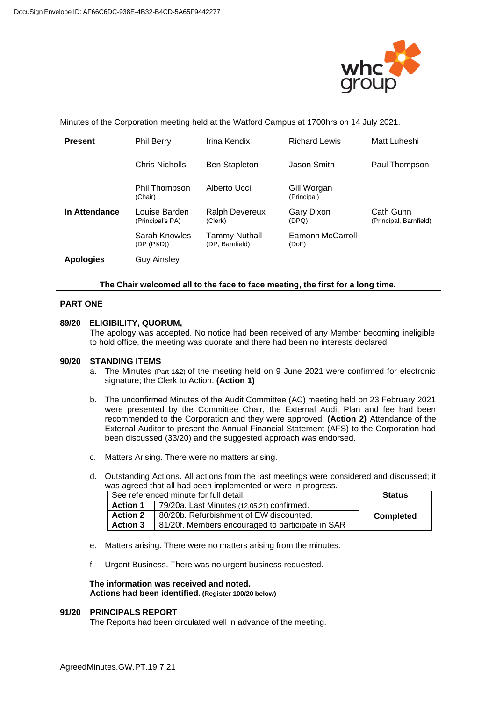

Minutes of the Corporation meeting held at the Watford Campus at 1700hrs on 14 July 2021.

| <b>Present</b>   | <b>Phil Berry</b>                 | Irina Kendix                     | <b>Richard Lewis</b>       | Matt Luheshi                        |
|------------------|-----------------------------------|----------------------------------|----------------------------|-------------------------------------|
|                  | Chris Nicholls                    | <b>Ben Stapleton</b>             | Jason Smith                | Paul Thompson                       |
|                  | Phil Thompson<br>(Chair)          | Alberto Ucci                     | Gill Worgan<br>(Principal) |                                     |
| In Attendance    | Louise Barden<br>(Principal's PA) | <b>Ralph Devereux</b><br>(Clerk) | Gary Dixon<br>(DPQ)        | Cath Gunn<br>(Principal, Barnfield) |
|                  | Sarah Knowles<br>(DP (P&D))       | Tammy Nuthall<br>(DP, Barnfield) | Eamonn McCarroll<br>(DoF)  |                                     |
| <b>Apologies</b> | Guy Ainsley                       |                                  |                            |                                     |

### **The Chair welcomed all to the face to face meeting, the first for a long time.**

### **PART ONE**

### **89/20 ELIGIBILITY, QUORUM,**

The apology was accepted. No notice had been received of any Member becoming ineligible to hold office, the meeting was quorate and there had been no interests declared.

### **90/20 STANDING ITEMS**

- a. The Minutes (Part 1&2) of the meeting held on 9 June 2021 were confirmed for electronic signature; the Clerk to Action. **(Action 1)**
- b. The unconfirmed Minutes of the Audit Committee (AC) meeting held on 23 February 2021 were presented by the Committee Chair, the External Audit Plan and fee had been recommended to the Corporation and they were approved. **(Action 2)** Attendance of the External Auditor to present the Annual Financial Statement (AFS) to the Corporation had been discussed (33/20) and the suggested approach was endorsed.
- c. Matters Arising. There were no matters arising.
- d. Outstanding Actions. All actions from the last meetings were considered and discussed; it was agreed that all had been implemented or were in progress.

| See referenced minute for full detail. |                                                  | <b>Status</b>    |
|----------------------------------------|--------------------------------------------------|------------------|
| <b>Action 1</b>                        | 79/20a. Last Minutes (12.05.21) confirmed.       |                  |
| <b>Action 2</b>                        | 80/20b. Refurbishment of EW discounted.          | <b>Completed</b> |
| <b>Action 3</b>                        | 81/20f. Members encouraged to participate in SAR |                  |

- e. Matters arising. There were no matters arising from the minutes.
- f. Urgent Business. There was no urgent business requested.

#### **The information was received and noted***.* **Actions had been identified. (Register 100/20 below)**

#### **91/20 PRINCIPALS REPORT**

The Reports had been circulated well in advance of the meeting.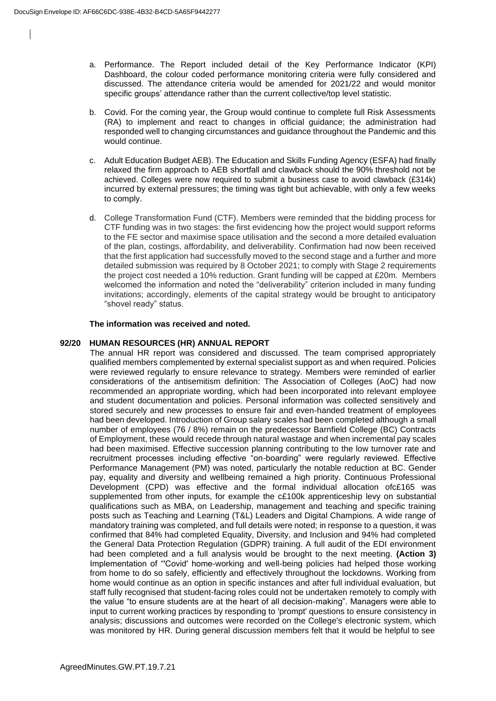- a. Performance. The Report included detail of the Key Performance Indicator (KPI) Dashboard, the colour coded performance monitoring criteria were fully considered and discussed. The attendance criteria would be amended for 2021/22 and would monitor specific groups' attendance rather than the current collective/top level statistic.
- b. Covid. For the coming year, the Group would continue to complete full Risk Assessments (RA) to implement and react to changes in official guidance; the administration had responded well to changing circumstances and guidance throughout the Pandemic and this would continue.
- c. Adult Education Budget AEB). The Education and Skills Funding Agency (ESFA) had finally relaxed the firm approach to AEB shortfall and clawback should the 90% threshold not be achieved. Colleges were now required to submit a business case to avoid clawback (£314k) incurred by external pressures; the timing was tight but achievable, with only a few weeks to comply.
- d. College Transformation Fund (CTF). Members were reminded that the bidding process for CTF funding was in two stages: the first evidencing how the project would support reforms to the FE sector and maximise space utilisation and the second a more detailed evaluation of the plan, costings, affordability, and deliverability. Confirmation had now been received that the first application had successfully moved to the second stage and a further and more detailed submission was required by 8 October 2021; to comply with Stage 2 requirements the project cost needed a 10% reduction. Grant funding will be capped at £20m. Members welcomed the information and noted the "deliverability" criterion included in many funding invitations; accordingly, elements of the capital strategy would be brought to anticipatory "shovel ready" status.

# **The information was received and noted***.*

# **92/20 HUMAN RESOURCES (HR) ANNUAL REPORT**

The annual HR report was considered and discussed. The team comprised appropriately qualified members complemented by external specialist support as and when required. Policies were reviewed regularly to ensure relevance to strategy. Members were reminded of earlier considerations of the antisemitism definition: The Association of Colleges (AoC) had now recommended an appropriate wording, which had been incorporated into relevant employee and student documentation and policies. Personal information was collected sensitively and stored securely and new processes to ensure fair and even-handed treatment of employees had been developed. Introduction of Group salary scales had been completed although a small number of employees (76 / 8%) remain on the predecessor Barnfield College (BC) Contracts of Employment, these would recede through natural wastage and when incremental pay scales had been maximised. Effective succession planning contributing to the low turnover rate and recruitment processes including effective "on-boarding" were regularly reviewed. Effective Performance Management (PM) was noted, particularly the notable reduction at BC. Gender pay, equality and diversity and wellbeing remained a high priority. Continuous Professional Development (CPD) was effective and the formal individual allocation ofc£165 was supplemented from other inputs, for example the c£100k apprenticeship levy on substantial qualifications such as MBA, on Leadership, management and teaching and specific training posts such as Teaching and Learning (T&L) Leaders and Digital Champions. A wide range of mandatory training was completed, and full details were noted; in response to a question, it was confirmed that 84% had completed Equality, Diversity, and Inclusion and 94% had completed the General Data Protection Regulation (GDPR) training. A full audit of the EDI environment had been completed and a full analysis would be brought to the next meeting. **(Action 3)** Implementation of "'Covid' home-working and well-being policies had helped those working from home to do so safely, efficiently and effectively throughout the lockdowns. Working from home would continue as an option in specific instances and after full individual evaluation, but staff fully recognised that student-facing roles could not be undertaken remotely to comply with the value "to ensure students are at the heart of all decision-making". Managers were able to input to current working practices by responding to 'prompt' questions to ensure consistency in analysis; discussions and outcomes were recorded on the College's electronic system, which was monitored by HR. During general discussion members felt that it would be helpful to see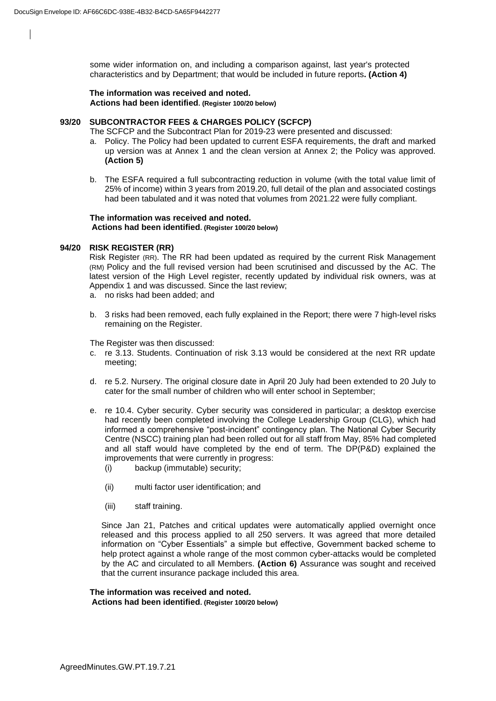some wider information on, and including a comparison against, last year's protected characteristics and by Department; that would be included in future reports**. (Action 4)**

**The information was received and noted***.* **Actions had been identified. (Register 100/20 below)**

### **93/20 SUBCONTRACTOR FEES & CHARGES POLICY (SCFCP)**

The SCFCP and the Subcontract Plan for 2019-23 were presented and discussed:

- a. Policy. The Policy had been updated to current ESFA requirements, the draft and marked up version was at Annex 1 and the clean version at Annex 2; the Policy was approved. **(Action 5)**
- b. The ESFA required a full subcontracting reduction in volume (with the total value limit of 25% of income) within 3 years from 2019.20, full detail of the plan and associated costings had been tabulated and it was noted that volumes from 2021.22 were fully compliant.

#### **The information was received and noted***.* **Actions had been identified. (Register 100/20 below)**

### **94/20 RISK REGISTER (RR)**

Risk Register (RR). The RR had been updated as required by the current Risk Management (RM) Policy and the full revised version had been scrutinised and discussed by the AC. The latest version of the High Level register, recently updated by individual risk owners, was at Appendix 1 and was discussed. Since the last review;

- a. no risks had been added; and
- b. 3 risks had been removed, each fully explained in the Report; there were 7 high-level risks remaining on the Register.

The Register was then discussed:

- c. re 3.13. Students. Continuation of risk 3.13 would be considered at the next RR update meeting;
- d. re 5.2. Nursery. The original closure date in April 20 July had been extended to 20 July to cater for the small number of children who will enter school in September;
- e. re 10.4. Cyber security. Cyber security was considered in particular; a desktop exercise had recently been completed involving the College Leadership Group (CLG), which had informed a comprehensive "post-incident" contingency plan. The National Cyber Security Centre (NSCC) training plan had been rolled out for all staff from May, 85% had completed and all staff would have completed by the end of term. The DP(P&D) explained the improvements that were currently in progress:
	- (i) backup (immutable) security;
	- (ii) multi factor user identification; and
	- (iii) staff training.

Since Jan 21, Patches and critical updates were automatically applied overnight once released and this process applied to all 250 servers. It was agreed that more detailed information on "Cyber Essentials" a simple but effective, Government backed scheme to help protect against a whole range of the most common cyber-attacks would be completed by the AC and circulated to all Members. **(Action 6)** Assurance was sought and received that the current insurance package included this area.

# **The information was received and noted***.*

**Actions had been identified. (Register 100/20 below)**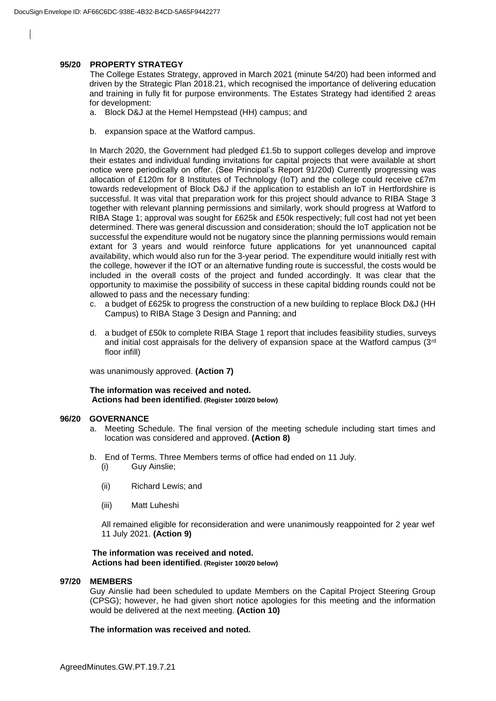### **95/20 PROPERTY STRATEGY**

The College Estates Strategy, approved in March 2021 (minute 54/20) had been informed and driven by the Strategic Plan 2018.21, which recognised the importance of delivering education and training in fully fit for purpose environments. The Estates Strategy had identified 2 areas for development:

- a. Block D&J at the Hemel Hempstead (HH) campus; and
- b. expansion space at the Watford campus.

In March 2020, the Government had pledged £1.5b to support colleges develop and improve their estates and individual funding invitations for capital projects that were available at short notice were periodically on offer. (See Principal's Report 91/20d) Currently progressing was allocation of £120m for 8 Institutes of Technology (IoT) and the college could receive c£7m towards redevelopment of Block D&J if the application to establish an IoT in Hertfordshire is successful. It was vital that preparation work for this project should advance to RIBA Stage 3 together with relevant planning permissions and similarly, work should progress at Watford to RIBA Stage 1; approval was sought for £625k and £50k respectively; full cost had not yet been determined. There was general discussion and consideration; should the IoT application not be successful the expenditure would not be nugatory since the planning permissions would remain extant for 3 years and would reinforce future applications for yet unannounced capital availability, which would also run for the 3-year period. The expenditure would initially rest with the college, however if the IOT or an alternative funding route is successful, the costs would be included in the overall costs of the project and funded accordingly. It was clear that the opportunity to maximise the possibility of success in these capital bidding rounds could not be allowed to pass and the necessary funding:

- c. a budget of £625k to progress the construction of a new building to replace Block D&J (HH Campus) to RIBA Stage 3 Design and Panning; and
- d. a budget of £50k to complete RIBA Stage 1 report that includes feasibility studies, surveys and initial cost appraisals for the delivery of expansion space at the Watford campus (3rd floor infill)

was unanimously approved. **(Action 7)**

### **The information was received and noted***.* **Actions had been identified. (Register 100/20 below)**

#### **96/20 GOVERNANCE**

- a. Meeting Schedule. The final version of the meeting schedule including start times and location was considered and approved. **(Action 8)**
- b. End of Terms. Three Members terms of office had ended on 11 July.
	- (i) Guy Ainslie;
	- (ii) Richard Lewis; and
	- (iii) Matt Luheshi

All remained eligible for reconsideration and were unanimously reappointed for 2 year wef 11 July 2021. **(Action 9)**

#### **The information was received and noted***.* **Actions had been identified. (Register 100/20 below)**

#### **97/20 MEMBERS**

Guy Ainslie had been scheduled to update Members on the Capital Project Steering Group (CPSG); however, he had given short notice apologies for this meeting and the information would be delivered at the next meeting. **(Action 10)**

### **The information was received and noted***.*